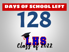# DAYS OF SCHOOL LEFT



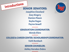



GRADUATION COORDINATOR: Wendy Eilers

.<br>مردرم مردم مردم مردم مردم مر

COLLEGE & CAREER CENTER / SCHOLARSHIP COORDINATOR:

در در در در در در در در در در در<br>-

Faith Rombach

SENIOR COUNSELOR:

-------------

Ashley Herndon-Dubra

-------------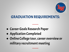

### GRADUATION REQUIREMENTS:

-------------

- Career Goals Research Paper
- Application Completed
- Online College tour, career overview or military recruitment meeting

-------------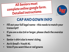All Seniors must complete online google form. Detailed Instructions:



# CAP AND GOWN INFO

- Fill out your full legal name this needs to match your transcript!!
- If you are a size 2xl or larger, please check the oversize box
- Senior t-shirt size is mens' sizing.
- An X-Small = Youth XL
- Vote if you want blue or red gowns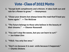### Vote - Class of 2022 Motto

- **1. "Accept both compliments and criticism. It takes both sun and rain for a flower to grow." – Anonymous**
- **2. "Chase your dreams but always know the road that'll lead you home again." ― Tim McGraw**
- **1. "The future belongs to those who believe in the beauty of their dreams." ― Eleanor Roosevelt**
- **2. "You can't stop the waves, but you can learn to surf." ― Jon Kabat-Zinn**
- **1. "YOLO. You only live once."**
- **1. "Don't cry because it is over- smile because it happened." ― Charles Dickens**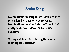## Senior Song

- Nominations for songs must be turned in to Mrs. Eilers by Tuesday, November 17. Nominations must include the Title, Artist and lyrics for consideration by Senior Senators.
- Voting will take place during the senior meeting on December 1.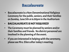

- Baccalaureate is a Non-Denominational Religious Ceremony for the public, seniors, and their families on Sunday, June 5th at 6:30pm in the Auditorium
- BACCALAUREATE IS NOT REQUIRED!
- The Ceremony must be planned by seniors and/or their families and friends. No district personnel are involved in the planning of the event.
- If you are interested in helping with the ceremony, please see Mrs. Eilers after today's meeting.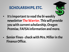#### SCHOLARSHIPS, ETC.

- It's important to read the bi-weekly newsletter The Warrior. This will provide you with current scholarship, Oregon Promise, FAFSA information and more.
- Senior Fines -check with Mrs. Miller in the Finance Office.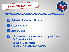### Please complete now!



May require you to sign into your school Google Account

✅high-school.lebanon.k12.or.us

✅'Resources' tab

✅Class of 2022

✅click on each of the surveys and complete them: ❏ Cap & Gown Info ❏ Senior Class Motto ❏ Senior All Night Party survey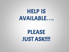# HELP IS AVAILABLE**…**.

# PLEASE JUST ASK!!!!